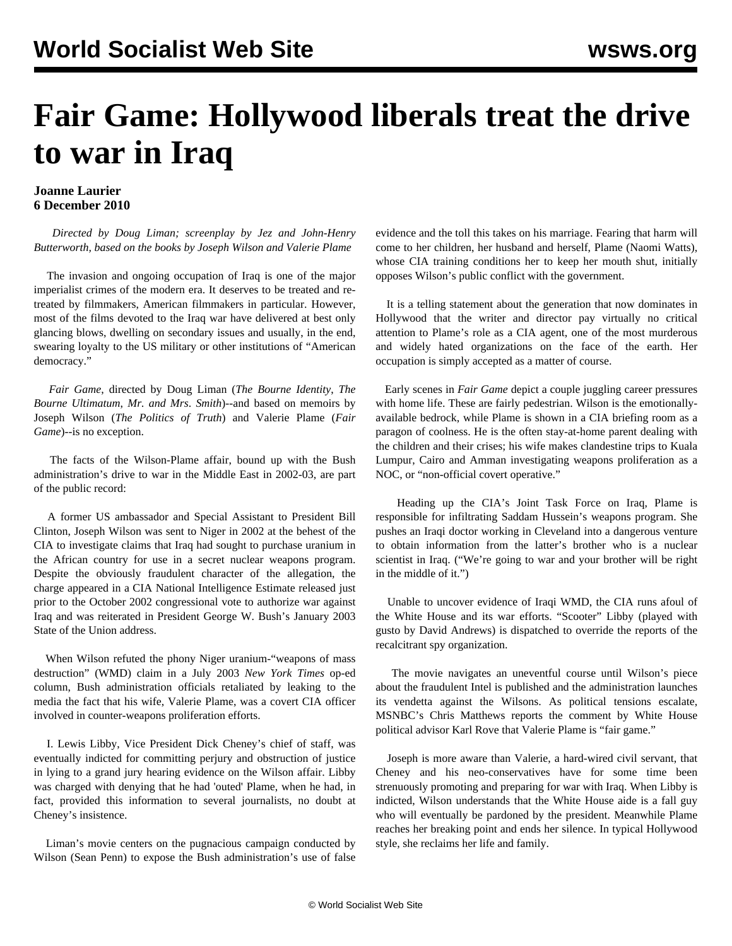## **Fair Game: Hollywood liberals treat the drive to war in Iraq**

## **Joanne Laurier 6 December 2010**

 *Directed by Doug Liman; screenplay by Jez and John-Henry Butterworth, based on the books by Joseph Wilson and Valerie Plame*

 The invasion and ongoing occupation of Iraq is one of the major imperialist crimes of the modern era. It deserves to be treated and retreated by filmmakers, American filmmakers in particular. However, most of the films devoted to the Iraq war have delivered at best only glancing blows, dwelling on secondary issues and usually, in the end, swearing loyalty to the US military or other institutions of "American democracy."

 *Fair Game*, directed by Doug Liman (*The Bourne Identity*, *The Bourne Ultimatum*, *Mr. and Mrs*. *Smith*)--and based on memoirs by Joseph Wilson (*The Politics of Truth*) and Valerie Plame (*Fair Game*)--is no exception.

 The facts of the Wilson-Plame affair, bound up with the Bush administration's drive to war in the Middle East in 2002-03, are part of the public record:

 A former US ambassador and Special Assistant to President Bill Clinton, Joseph Wilson was sent to Niger in 2002 at the behest of the CIA to investigate claims that Iraq had sought to purchase uranium in the African country for use in a secret nuclear weapons program. Despite the obviously fraudulent character of the allegation, the charge appeared in a CIA National Intelligence Estimate released just prior to the October 2002 congressional vote to authorize war against Iraq and was reiterated in President George W. Bush's January 2003 State of the Union address.

 When Wilson refuted the phony Niger uranium-"weapons of mass destruction" (WMD) claim in a July 2003 *New York Times* op-ed column, Bush administration officials retaliated by leaking to the media the fact that his wife, Valerie Plame, was a covert CIA officer involved in counter-weapons proliferation efforts.

 I. Lewis Libby, Vice President Dick Cheney's chief of staff, was eventually indicted for committing perjury and obstruction of justice in lying to a grand jury hearing evidence on the Wilson affair. Libby was charged with denying that he had 'outed' Plame, when he had, in fact, provided this information to several journalists, no doubt at Cheney's insistence.

 Liman's movie centers on the pugnacious campaign conducted by Wilson (Sean Penn) to expose the Bush administration's use of false evidence and the toll this takes on his marriage. Fearing that harm will come to her children, her husband and herself, Plame (Naomi Watts), whose CIA training conditions her to keep her mouth shut, initially opposes Wilson's public conflict with the government.

 It is a telling statement about the generation that now dominates in Hollywood that the writer and director pay virtually no critical attention to Plame's role as a CIA agent, one of the most murderous and widely hated organizations on the face of the earth. Her occupation is simply accepted as a matter of course.

 Early scenes in *Fair Game* depict a couple juggling career pressures with home life. These are fairly pedestrian. Wilson is the emotionallyavailable bedrock, while Plame is shown in a CIA briefing room as a paragon of coolness. He is the often stay-at-home parent dealing with the children and their crises; his wife makes clandestine trips to Kuala Lumpur, Cairo and Amman investigating weapons proliferation as a NOC, or "non-official covert operative."

 Heading up the CIA's Joint Task Force on Iraq, Plame is responsible for infiltrating Saddam Hussein's weapons program. She pushes an Iraqi doctor working in Cleveland into a dangerous venture to obtain information from the latter's brother who is a nuclear scientist in Iraq. ("We're going to war and your brother will be right in the middle of it.")

 Unable to uncover evidence of Iraqi WMD, the CIA runs afoul of the White House and its war efforts. "Scooter" Libby (played with gusto by David Andrews) is dispatched to override the reports of the recalcitrant spy organization.

 The movie navigates an uneventful course until Wilson's piece about the fraudulent Intel is published and the administration launches its vendetta against the Wilsons. As political tensions escalate, MSNBC's Chris Matthews reports the comment by White House political advisor Karl Rove that Valerie Plame is "fair game."

 Joseph is more aware than Valerie, a hard-wired civil servant, that Cheney and his neo-conservatives have for some time been strenuously promoting and preparing for war with Iraq. When Libby is indicted, Wilson understands that the White House aide is a fall guy who will eventually be pardoned by the president. Meanwhile Plame reaches her breaking point and ends her silence. In typical Hollywood style, she reclaims her life and family.